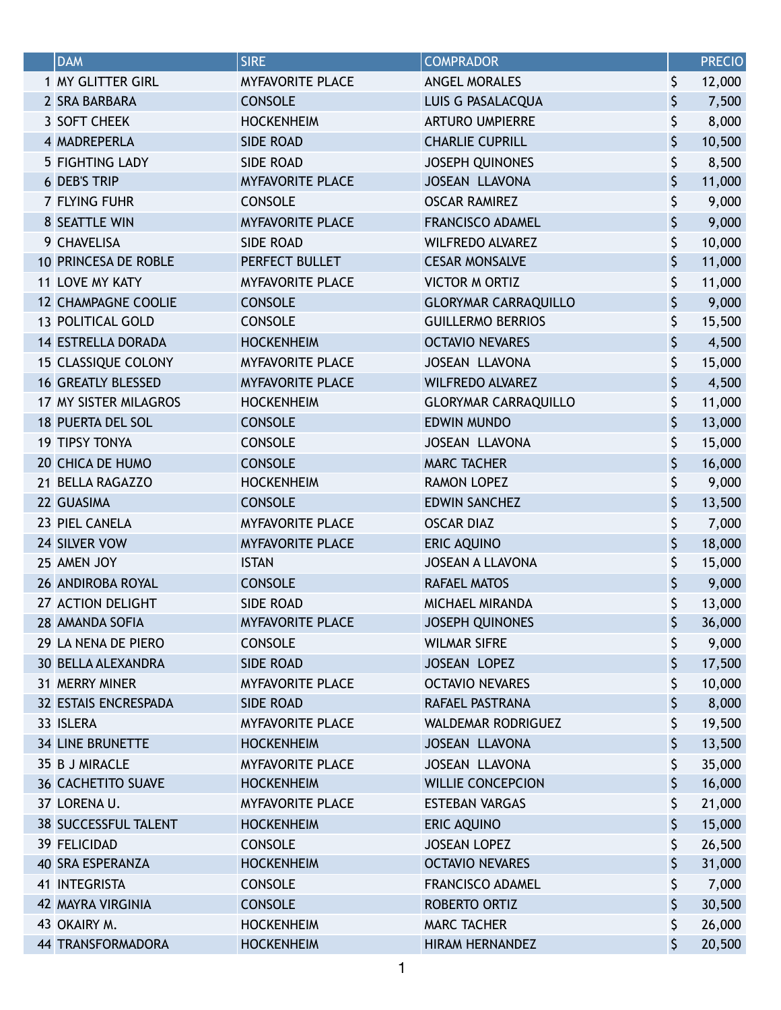| <b>DAM</b>                  | <b>SIRE</b>             | <b>COMPRADOR</b>            | <b>PRECIO</b> |
|-----------------------------|-------------------------|-----------------------------|---------------|
| 1 MY GLITTER GIRL           | <b>MYFAVORITE PLACE</b> | <b>ANGEL MORALES</b>        | \$<br>12,000  |
| 2 SRA BARBARA               | <b>CONSOLE</b>          | LUIS G PASALACQUA           | \$<br>7,500   |
| 3 SOFT CHEEK                | <b>HOCKENHEIM</b>       | <b>ARTURO UMPIERRE</b>      | \$<br>8,000   |
| 4 MADREPERLA                | <b>SIDE ROAD</b>        | <b>CHARLIE CUPRILL</b>      | \$<br>10,500  |
| <b>5 FIGHTING LADY</b>      | <b>SIDE ROAD</b>        | <b>JOSEPH QUINONES</b>      | \$<br>8,500   |
| <b>6 DEB'S TRIP</b>         | <b>MYFAVORITE PLACE</b> | JOSEAN LLAVONA              | \$<br>11,000  |
| 7 FLYING FUHR               | <b>CONSOLE</b>          | <b>OSCAR RAMIREZ</b>        | \$<br>9,000   |
| 8 SEATTLE WIN               | <b>MYFAVORITE PLACE</b> | <b>FRANCISCO ADAMEL</b>     | \$<br>9,000   |
| 9 CHAVELISA                 | <b>SIDE ROAD</b>        | <b>WILFREDO ALVAREZ</b>     | \$<br>10,000  |
| 10 PRINCESA DE ROBLE        | PERFECT BULLET          | <b>CESAR MONSALVE</b>       | \$<br>11,000  |
| 11 LOVE MY KATY             | <b>MYFAVORITE PLACE</b> | <b>VICTOR M ORTIZ</b>       | \$<br>11,000  |
| <b>12 CHAMPAGNE COOLIE</b>  | <b>CONSOLE</b>          | <b>GLORYMAR CARRAQUILLO</b> | \$<br>9,000   |
| 13 POLITICAL GOLD           | <b>CONSOLE</b>          | <b>GUILLERMO BERRIOS</b>    | \$<br>15,500  |
| <b>14 ESTRELLA DORADA</b>   | <b>HOCKENHEIM</b>       | <b>OCTAVIO NEVARES</b>      | \$<br>4,500   |
| <b>15 CLASSIQUE COLONY</b>  | <b>MYFAVORITE PLACE</b> | JOSEAN LLAVONA              | \$<br>15,000  |
| <b>16 GREATLY BLESSED</b>   | <b>MYFAVORITE PLACE</b> | <b>WILFREDO ALVAREZ</b>     | \$<br>4,500   |
| 17 MY SISTER MILAGROS       | <b>HOCKENHEIM</b>       | <b>GLORYMAR CARRAQUILLO</b> | \$<br>11,000  |
| <b>18 PUERTA DEL SOL</b>    | <b>CONSOLE</b>          | <b>EDWIN MUNDO</b>          | \$<br>13,000  |
| <b>19 TIPSY TONYA</b>       | <b>CONSOLE</b>          | JOSEAN LLAVONA              | \$<br>15,000  |
| 20 CHICA DE HUMO            | <b>CONSOLE</b>          | <b>MARC TACHER</b>          | \$<br>16,000  |
| 21 BELLA RAGAZZO            | <b>HOCKENHEIM</b>       | <b>RAMON LOPEZ</b>          | \$<br>9,000   |
| 22 GUASIMA                  | <b>CONSOLE</b>          | <b>EDWIN SANCHEZ</b>        | \$<br>13,500  |
| 23 PIEL CANELA              | <b>MYFAVORITE PLACE</b> | <b>OSCAR DIAZ</b>           | \$<br>7,000   |
| 24 SILVER VOW               | <b>MYFAVORITE PLACE</b> | <b>ERIC AQUINO</b>          | \$<br>18,000  |
| 25 AMEN JOY                 | <b>ISTAN</b>            | <b>JOSEAN A LLAVONA</b>     | \$<br>15,000  |
| <b>26 ANDIROBA ROYAL</b>    | <b>CONSOLE</b>          | <b>RAFAEL MATOS</b>         | \$<br>9,000   |
| 27 ACTION DELIGHT           | <b>SIDE ROAD</b>        | MICHAEL MIRANDA             | \$<br>13,000  |
| 28 AMANDA SOFIA             | <b>MYFAVORITE PLACE</b> | <b>JOSEPH QUINONES</b>      | \$<br>36,000  |
| 29 LA NENA DE PIERO         | <b>CONSOLE</b>          | <b>WILMAR SIFRE</b>         | \$<br>9,000   |
| <b>30 BELLA ALEXANDRA</b>   | <b>SIDE ROAD</b>        | <b>JOSEAN LOPEZ</b>         | \$<br>17,500  |
| 31 MERRY MINER              | <b>MYFAVORITE PLACE</b> | <b>OCTAVIO NEVARES</b>      | \$<br>10,000  |
| 32 ESTAIS ENCRESPADA        | <b>SIDE ROAD</b>        | RAFAEL PASTRANA             | \$<br>8,000   |
| 33 ISLERA                   | <b>MYFAVORITE PLACE</b> | <b>WALDEMAR RODRIGUEZ</b>   | \$<br>19,500  |
| <b>34 LINE BRUNETTE</b>     | <b>HOCKENHEIM</b>       | JOSEAN LLAVONA              | \$<br>13,500  |
| 35 B J MIRACLE              | <b>MYFAVORITE PLACE</b> | JOSEAN LLAVONA              | \$<br>35,000  |
| <b>36 CACHETITO SUAVE</b>   | <b>HOCKENHEIM</b>       | <b>WILLIE CONCEPCION</b>    | \$<br>16,000  |
| 37 LORENA U.                | <b>MYFAVORITE PLACE</b> | <b>ESTEBAN VARGAS</b>       | \$<br>21,000  |
| <b>38 SUCCESSFUL TALENT</b> | <b>HOCKENHEIM</b>       | <b>ERIC AQUINO</b>          | \$<br>15,000  |
| <b>39 FELICIDAD</b>         | <b>CONSOLE</b>          | <b>JOSEAN LOPEZ</b>         | \$<br>26,500  |
| 40 SRA ESPERANZA            | <b>HOCKENHEIM</b>       | <b>OCTAVIO NEVARES</b>      | \$<br>31,000  |
| 41 INTEGRISTA               | <b>CONSOLE</b>          | <b>FRANCISCO ADAMEL</b>     | \$<br>7,000   |
| 42 MAYRA VIRGINIA           | <b>CONSOLE</b>          | ROBERTO ORTIZ               | \$<br>30,500  |
| 43 OKAIRY M.                | <b>HOCKENHEIM</b>       | <b>MARC TACHER</b>          | \$<br>26,000  |
| 44 TRANSFORMADORA           | <b>HOCKENHEIM</b>       | <b>HIRAM HERNANDEZ</b>      | \$<br>20,500  |